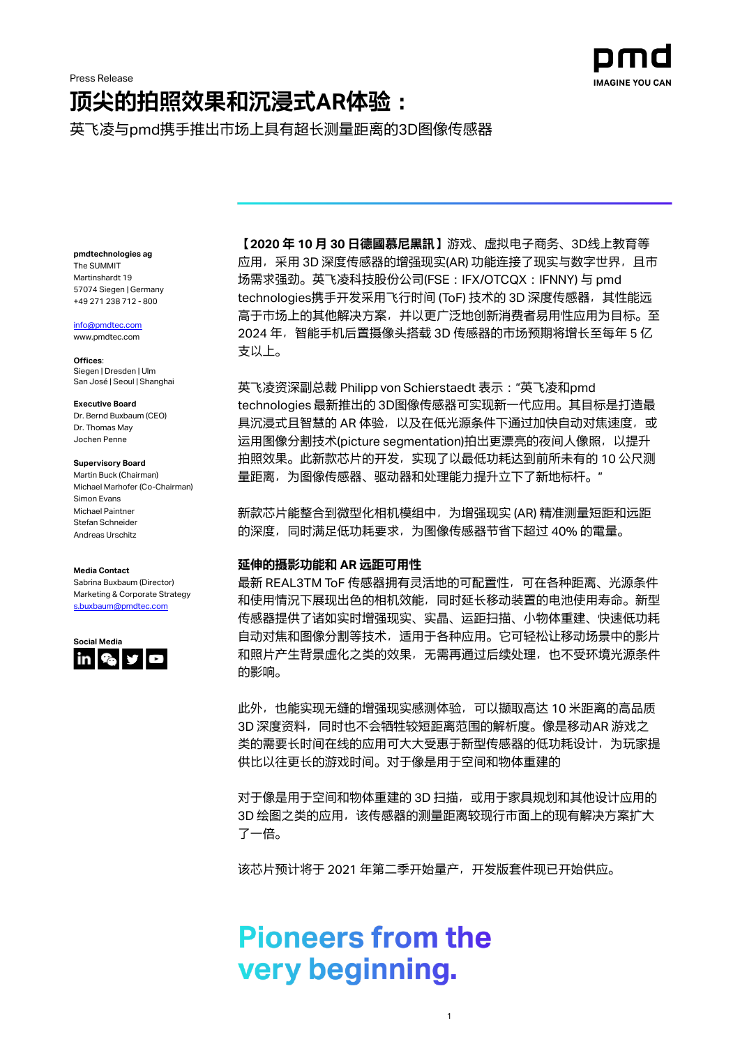# **顶尖的拍照效果和沉浸式AR体验:**

英飞凌与pmd携手推出市场上具有超长测量距离的3D图像传感器

**pmdtechnologies ag** The SUMMIT Martinshardt 19 57074 Siegen | Germany +49 271 238 712 - 800

[info@pmdtec.com](mailto:info@pmdtec.com)

[www.pmdtec.com](http://www.pmdtec.com/)

**Offices**: Siegen | Dresden | Ulm San José | Seoul | Shanghai

### **Executive Board**

Dr. Bernd Buxbaum (CEO) Dr. Thomas May Jochen Penne

# **Supervisory Board**

Martin Buck (Chairman) Michael Marhofer (Co-Chairman) Simon Evans Michael Paintner Stefan Schneider Andreas Urschitz

### **Media Contact**

Sabrina Buxbaum (Director) Marketing & Corporate Strategy [s.buxbaum@pmdtec.com](mailto:s.buxbaum@pmdtec.com)



**【2020 年 10 月 30 日德國慕尼黑訊**】游戏、虚拟电子商务、3D线上教育等 应用,采用 3D 深度传感器的增强现实(AR) 功能连接了现实与数字世界, 且市 场需求强劲。英飞凌科技股份公司(FSE:IFX/OTCQX:IFNNY) 与 pmd technologies携手开发采用飞行时间 (ToF) 技术的 3D 深度传感器, 其性能远 高于市场上的其他解决方案,并以更广泛地创新消费者易用性应用为目标。至 2024 年,智能手机后置摄像头搭载 3D 传感器的市场预期将增长至每年 5 亿 支以上。

**IMAGINE YOU CAN** 

英飞凌资深副总裁 Philipp von Schierstaedt 表示:"英飞凌和pmd technologies 最新推出的 3D图像传感器可实现新一代应用。其目标是打造最 具沉浸式且智慧的 AR 体验, 以及在低光源条件下通过加快自动对焦速度, 或 运用图像分割技术(picture segmentation)拍出更漂亮的夜间人像照, 以提升 拍照效果。此新款芯片的开发,实现了以最低功耗达到前所未有的 10 公尺测 量距离,为图像传感器、驱动器和处理能力提升立下了新地标杆。"

新款芯片能整合到微型化相机模组中,为增强现实 (AR) 精准测量短距和远距 的深度,同时满足低功耗要求,为图像传感器节省下超过 40% 的電量。

# **延伸的摄影功能和 AR 远距可用性**

最新 REAL3TM ToF 传感器拥有灵活地的可配置性,可在各种距离、光源条件 和使用情況下展现出色的相机效能,同时延长移动装置的电池使用寿命。新型 传感器提供了诸如实时增强现实、实晶、运距扫描、小物体重建、快速低功耗 自动对焦和图像分割等技术,适用于各种应用。它可轻松让移动场景中的影片 和照片产生背景虚化之类的效果,无需再通过后续处理,也不受环境光源条件 的影响。

此外,也能实现无缝的增强现实感测体验,可以撷取高达 10 米距离的高品质 3D 深度资料, 同时也不会牺牲较短距离范围的解析度。像是移动AR 游戏之 类的需要长时间在线的应用可大大受惠于新型传感器的低功耗设计, 为玩家提 供比以往更长的游戏时间。对于像是用于空间和物体重建的

对于像是用于空间和物体重建的 3D 扫描,或用于家具规划和其他设计应用的 3D 绘图之类的应用, 该传感器的测量距离较现行市面上的现有解决方案扩大 了一倍。

1

该芯片预计将于 2021 年第二季开始量产,开发版套件现已开始供应。

# **Pioneers from the** very beginning.